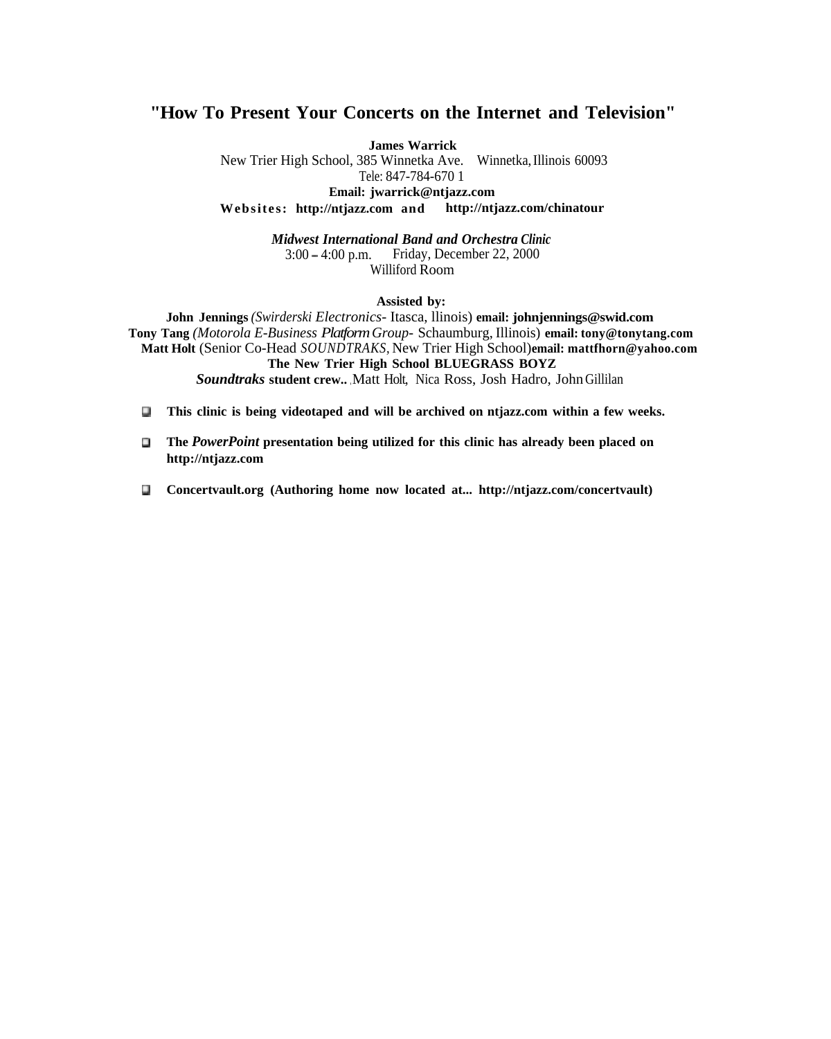#### **"How To Present Your Concerts on the Internet and Television"**

**James Warrick**

New Trier High School, 385 Winnetka Ave. Winnetka, Illinois 60093 Tele: 847-784-670 1 **Email: jwarrick@ntjazz.com**

**Websites: http://ntjazz.com and http://ntjazz.com/chinatour**

*Midwest International Band and Orchestra Clinic* 3:00 - 4:00 p.m. Friday, December 22, 2000 Williford Room

#### **Assisted by:**

**John Jennings** *(Swirderski Electronics-* Itasca, llinois) **email: johnjennings@swid.com Tony Tang** *(Motorola E-Business Platform Group-* Schaumburg, Illinois) **email: tony@tonytang.com Matt Holt** (Senior Co-Head *SOUNDTRAKS,* New Trier High School) **email: mattfhorn@yahoo.com The New Trier High School BLUEGRASS BOYZ Soundtraks student crew..** Matt Holt, Nica Ross, Josh Hadro, John Gillilan

- **0 This clinic is being videotaped and will be archived on ntjazz.com within a few weeks.**
- **0 The** *PowerPoint* **presentation being utilized for this clinic has already been placed on http://ntjazz.com**
- **0 Concertvault.org (Authoring home now located at... http://ntjazz.com/concertvault) http://ntjazz.com/concertvault)**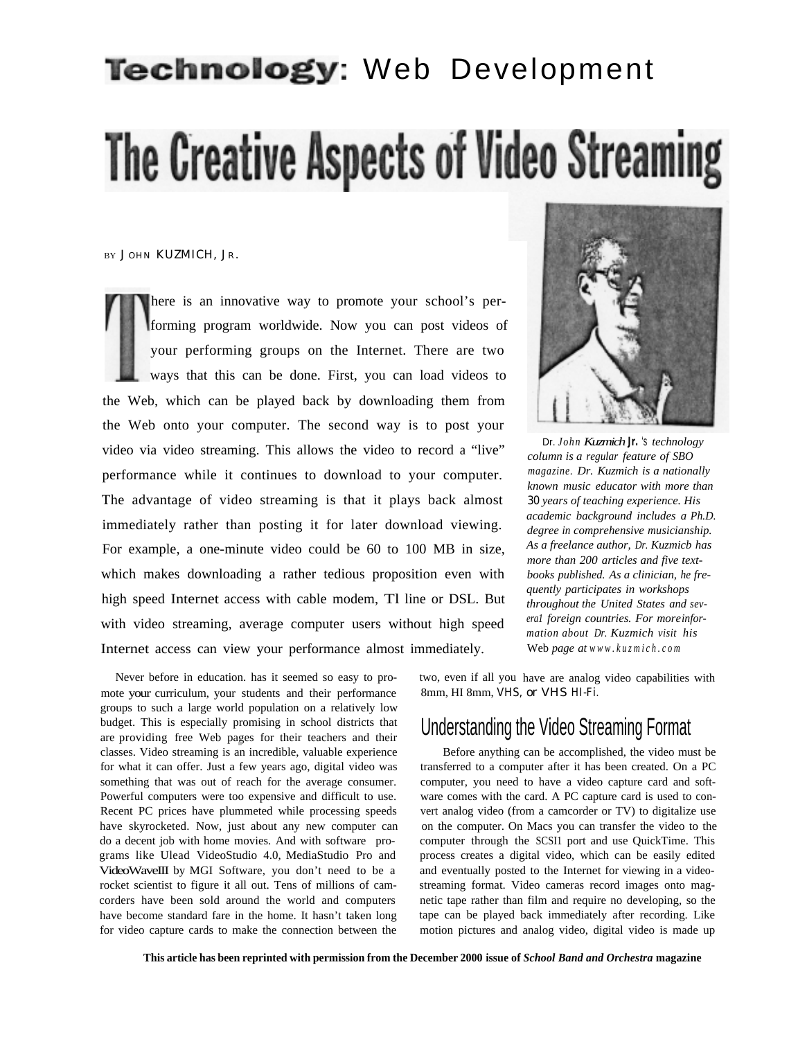# Technology: Web Development The Creative Aspects of Video Streaming

BY JOHN KUZMICH, JR.

here is an innovative way to promote your school's performing program worldwide. Now you can post videos of your performing groups on the Internet. There are two ways that this can be done. First, you can load videos to the Web, which can be played back by downloading them from the Web onto your computer. The second way is to post your video via video streaming. This allows the video to record a "live" performance while it continues to download to your computer. The advantage of video streaming is that it plays back almost immediately rather than posting it for later download viewing. For example, a one-minute video could be 60 to 100 MB in size, which makes downloading a rather tedious proposition even with high speed Internet access with cable modem, Tl line or DSL. But with video streaming, average computer users without high speed Internet access can view your performance almost immediately.

Never before in education. has it seemed so easy to pro- two, even if all you have are analog video capabilities with mote your curriculum, your students and their performance 8mm, HI 8mm, VHS, or VHS HI-Fi. groups to such a large world population on a relatively low budget. This is especially promising in school districts that budget. This is especially promising in school districts that Understanding the Video Streaming Format are providing free Web pages for their teachers and their classes. Video streaming is an incredible, valuable experience Before anything can be accomplished, the video must be for what it can offer. Just a few years ago, digital video was transferred to a computer after it has been created. On a PC something that was out of reach for the average consumer. computer, you need to have a video capture card and soft-Powerful computers were too expensive and difficult to use. ware comes with the card. A PC capture card is used to con-Recent PC prices have plummeted while processing speeds vert analog video (from a camcorder or TV) to digitalize use have skyrocketed. Now, just about any new computer can on the computer. On Macs you can transfer the video to the do a decent job with home movies. And with software pro- computer through the SCSI1 port and use QuickTime. This grams like Ulead VideoStudio 4.0, MediaStudio Pro and process creates a digital video, which can be easily edited VideoWaveIII by MGI Software, you don't need to be a and eventually posted to the Internet for viewing in a videorocket scientist to figure it all out. Tens of millions of cam- streaming format. Video cameras record images onto magcorders have been sold around the world and computers have become standard fare in the home. It hasn't taken long for video capture cards to make the connection between the



Dr. *John Kuzmich Jr.* 's *technology column is a regular feature of SBO magazine. Dr. Kuzmich is a nationally known music educator with more than* 30 *years of teaching experience. His academic background includes a Ph.D. degree in comprehensive musicianship. As a freelance author, Dr. Kuzmicb has more than 200 articles and five textbooks published. As a clinician, he frequently participates in workshops throughout the United States and severa1 foreign countries. For more information about Dr. Kuzmich visit his* Web *page at www.kuzmich.com*

netic tape rather than film and require no developing, so the tape can be played back immediately after recording. Like motion pictures and analog video, digital video is made up

**This article has been reprinted with permission from the December 2000 issue of** *School Band and Orchestra* **magazine**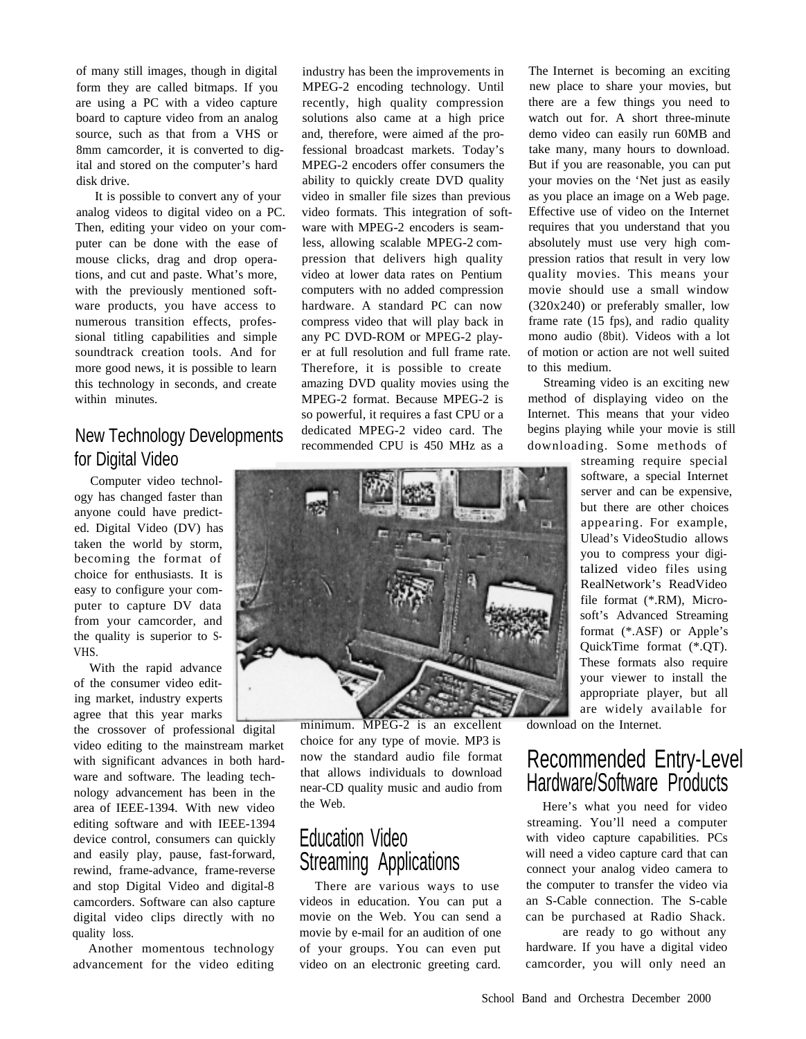of many still images, though in digital form they are called bitmaps. If you are using a PC with a video capture board to capture video from an analog source, such as that from a VHS or 8mm camcorder, it is converted to digital and stored on the computer's hard disk drive.

It is possible to convert any of your analog videos to digital video on a PC. Then, editing your video on your computer can be done with the ease of mouse clicks, drag and drop operations, and cut and paste. What's more, with the previously mentioned software products, you have access to numerous transition effects, professional titling capabilities and simple soundtrack creation tools. And for more good news, it is possible to learn this technology in seconds, and create within minutes.

#### New Technology Developments for Digital Video

Computer video technology has changed faster than anyone could have predicted. Digital Video (DV) has taken the world by storm, becoming the format of choice for enthusiasts. It is easy to configure your computer to capture DV data from your camcorder, and the quality is superior to S-VHS.

With the rapid advance of the consumer video editing market, industry experts agree that this year marks

the crossover of professional digital video editing to the mainstream market with significant advances in both hardware and software. The leading technology advancement has been in the area of IEEE-1394. With new video editing software and with IEEE-1394 device control, consumers can quickly and easily play, pause, fast-forward, rewind, frame-advance, frame-reverse and stop Digital Video and digital-8 camcorders. Software can also capture digital video clips directly with no quality loss.

Another momentous technology advancement for the video editing

industry has been the improvements in MPEG-2 encoding technology. Until recently, high quality compression solutions also came at a high price and, therefore, were aimed af the professional broadcast markets. Today's MPEG-2 encoders offer consumers the ability to quickly create DVD quality video in smaller file sizes than previous video formats. This integration of software with MPEG-2 encoders is seamless, allowing scalable MPEG-2 compression that delivers high quality video at lower data rates on Pentium computers with no added compression hardware. A standard PC can now compress video that will play back in any PC DVD-ROM or MPEG-2 player at full resolution and full frame rate. Therefore, it is possible to create amazing DVD quality movies using the MPEG-2 format. Because MPEG-2 is so powerful, it requires a fast CPU or a dedicated MPEG-2 video card. The recommended CPU is 450 MHz as a



minimum. MPEG-2 is an excellent choice for any type of movie. MP3 is now the standard audio file format that allows individuals to download near-CD quality music and audio from the Web.

#### Education Video Streaming Applications

There are various ways to use videos in education. You can put a movie on the Web. You can send a movie by e-mail for an audition of one of your groups. You can even put video on an electronic greeting card.

The Internet is becoming an exciting new place to share your movies, but there are a few things you need to watch out for. A short three-minute demo video can easily run 60MB and take many, many hours to download. But if you are reasonable, you can put your movies on the 'Net just as easily as you place an image on a Web page. Effective use of video on the Internet requires that you understand that you absolutely must use very high compression ratios that result in very low quality movies. This means your movie should use a small window (320x240) or preferably smaller, low frame rate (15 fps), and radio quality mono audio (8bit). Videos with a lot of motion or action are not well suited to this medium.

Streaming video is an exciting new method of displaying video on the Internet. This means that your video begins playing while your movie is still downloading. Some methods of

> streaming require special software, a special Internet server and can be expensive, but there are other choices appearing. For example, Ulead's VideoStudio allows you to compress your digitalized video files using RealNetwork's ReadVideo file format (\*.RM), Microsoft's Advanced Streaming format (\*.ASF) or Apple's QuickTime format (\*.QT). These formats also require your viewer to install the appropriate player, but all are widely available for

download on the Internet.

#### Recommended Entry-Level Hardware/Software Products

Here's what you need for video streaming. You'll need a computer with video capture capabilities. PCs will need a video capture card that can connect your analog video camera to the computer to transfer the video via an S-Cable connection. The S-cable can be purchased at Radio Shack.

are ready to go without any hardware. If you have a digital video camcorder, you will only need an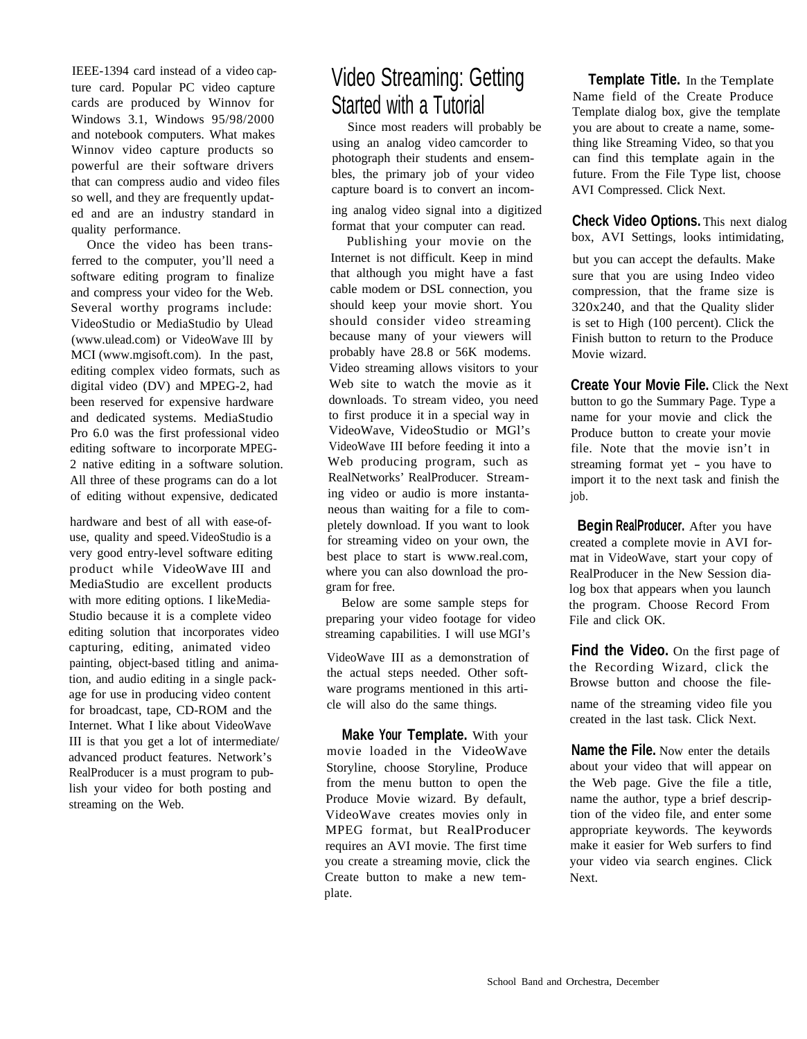IEEE-1394 card instead of a video capture card. Popular PC video capture cards are produced by Winnov for Windows 3.1, Windows 95/98/2000 and notebook computers. What makes Winnov video capture products so powerful are their software drivers that can compress audio and video files so well, and they are frequently updated and are an industry standard in quality performance.

Once the video has been transferred to the computer, you'll need a software editing program to finalize and compress your video for the Web. Several worthy programs include: VideoStudio or MediaStudio by Ulead (www.ulead.com) or VideoWave III by MCI (www.mgisoft.com). In the past, editing complex video formats, such as digital video (DV) and MPEG-2, had been reserved for expensive hardware and dedicated systems. MediaStudio Pro 6.0 was the first professional video editing software to incorporate MPEG-2 native editing in a software solution. All three of these programs can do a lot of editing without expensive, dedicated

hardware and best of all with ease-ofuse, quality and speed. VideoStudio is a very good entry-level software editing product while VideoWave III and MediaStudio are excellent products with more editing options. I like Media-Studio because it is a complete video editing solution that incorporates video capturing, editing, animated video painting, object-based titling and animation, and audio editing in a single package for use in producing video content for broadcast, tape, CD-ROM and the Internet. What I like about VideoWave III is that you get a lot of intermediate/ advanced product features. Network's RealProducer is a must program to publish your video for both posting and streaming on the Web.

# Video Streaming: Getting Started with a Tutorial

Since most readers will probably be using an analog video camcorder to photograph their students and ensembles, the primary job of your video capture board is to convert an incom-

ing analog video signal into a digitized format that your computer can read.

Publishing your movie on the Internet is not difficult. Keep in mind that although you might have a fast cable modem or DSL connection, you should keep your movie short. You should consider video streaming because many of your viewers will probably have 28.8 or 56K modems. Video streaming allows visitors to your Web site to watch the movie as it downloads. To stream video, you need to first produce it in a special way in VideoWave, VideoStudio or MGl's VideoWave III before feeding it into a Web producing program, such as RealNetworks' RealProducer. Streaming video or audio is more instantaneous than waiting for a file to completely download. If you want to look for streaming video on your own, the best place to start is www.real.com, where you can also download the program for free.

Below are some sample steps for preparing your video footage for video streaming capabilities. I will use MGI's

VideoWave III as a demonstration of the actual steps needed. Other software programs mentioned in this article will also do the same things.

**Make Your Template.** With your movie loaded in the VideoWave Storyline, choose Storyline, Produce from the menu button to open the Produce Movie wizard. By default, VideoWave creates movies only in MPEG format, but RealProducer requires an AVI movie. The first time you create a streaming movie, click the Create button to make a new template.

**Template Title.** In the Template Name field of the Create Produce Template dialog box, give the template you are about to create a name, something like Streaming Video, so that you can find this template again in the future. From the File Type list, choose AVI Compressed. Click Next.

**Check Video Options.** This next dialog box, AVI Settings, looks intimidating,

but you can accept the defaults. Make sure that you are using Indeo video compression, that the frame size is 320x240, and that the Quality slider is set to High (100 percent). Click the Finish button to return to the Produce Movie wizard.

**Create Your Movie File.** Click the Next button to go the Summary Page. Type a name for your movie and click the Produce button to create your movie file. Note that the movie isn't in streaming format yet - you have to import it to the next task and finish the job.

 **Begin RealProducer.** After you have created a complete movie in AVI format in VideoWave, start your copy of RealProducer in the New Session dialog box that appears when you launch the program. Choose Record From File and click OK.

**Find the Video.** On the first page of the Recording Wizard, click the Browse button and choose the filename of the streaming video file you created in the last task. Click Next.

**Name the File.** Now enter the details about your video that will appear on the Web page. Give the file a title, name the author, type a brief description of the video file, and enter some appropriate keywords. The keywords make it easier for Web surfers to find your video via search engines. Click Next.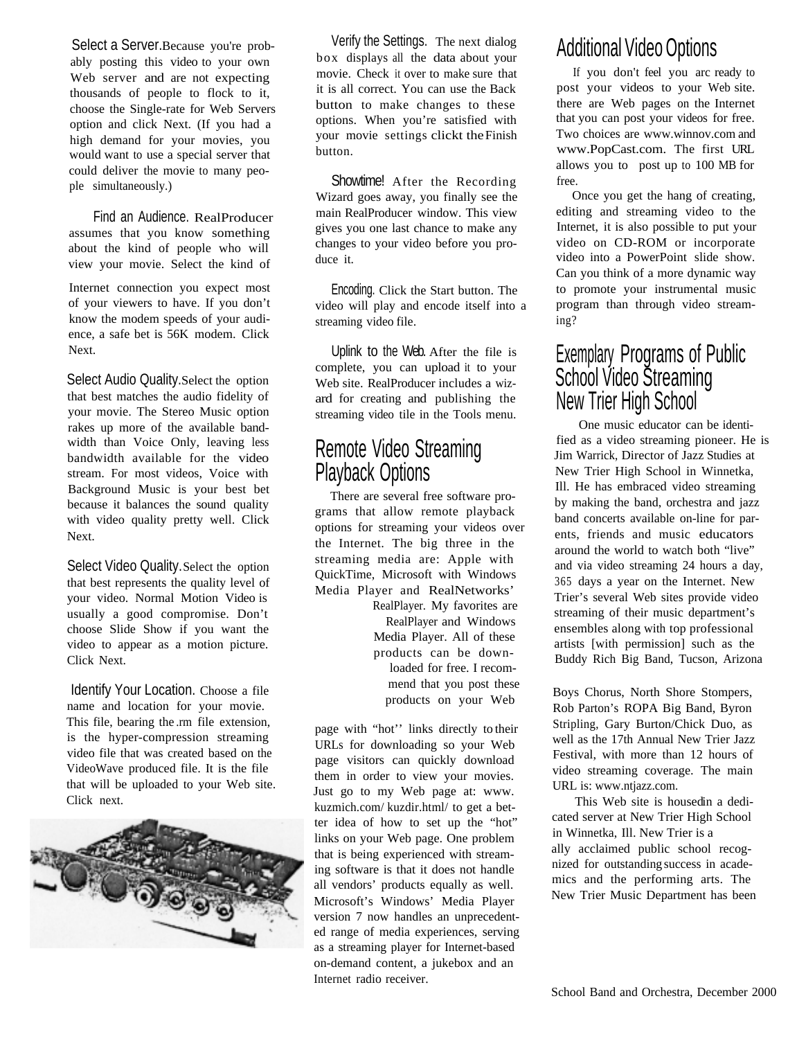Select a Server.Because you're probably posting this video to your own Web server and are not expecting thousands of people to flock to it, choose the Single-rate for Web Servers option and click Next. (If you had a high demand for your movies, you would want to use a special server that could deliver the movie to many people simultaneously.)

Find an Audience. RealProducer assumes that you know something about the kind of people who will view your movie. Select the kind of

Internet connection you expect most of your viewers to have. If you don't know the modem speeds of your audience, a safe bet is 56K modem. Click Next.

Select Audio Quality. Select the option that best matches the audio fidelity of your movie. The Stereo Music option rakes up more of the available bandwidth than Voice Only, leaving less bandwidth available for the video stream. For most videos, Voice with Background Music is your best bet because it balances the sound quality with video quality pretty well. Click Next.

Select Video Quality. Select the option that best represents the quality level of your video. Normal Motion Video is usually a good compromise. Don't choose Slide Show if you want the video to appear as a motion picture. Click Next.

Identify Your Location. Choose a file name and location for your movie. This file, bearing the .rm file extension, is the hyper-compression streaming video file that was created based on the VideoWave produced file. It is the file that will be uploaded to your Web site. Click next.



Verify the Settings. The next dialog box displays all the data about your movie. Check it over to make sure that it is all correct. You can use the Back button to make changes to these options. When you're satisfied with your movie settings clickt the Finish button.

Showtime! After the Recording Wizard goes away, you finally see the main RealProducer window. This view gives you one last chance to make any changes to your video before you produce it.

Encoding. Click the Start button. The video will play and encode itself into a streaming video file.

Uplink to the Web. After the file is complete, you can upload it to your Web site. RealProducer includes a wizard for creating and publishing the streaming video tile in the Tools menu.

#### Remote Video Streaming Playback Options

There are several free software programs that allow remote playback options for streaming your videos over the Internet. The big three in the streaming media are: Apple with QuickTime, Microsoft with Windows Media Player and RealNetworks'

RealPlayer. My favorites are RealPlayer and Windows Media Player. All of these products can be downloaded for free. I recommend that you post these products on your Web

page with "hot'' links directly to their URLs for downloading so your Web page visitors can quickly download them in order to view your movies. Just go to my Web page at: www. kuzmich.com/ kuzdir.html/ to get a better idea of how to set up the "hot" links on your Web page. One problem that is being experienced with streaming software is that it does not handle all vendors' products equally as well. Microsoft's Windows' Media Player version 7 now handles an unprecedented range of media experiences, serving as a streaming player for Internet-based on-demand content, a jukebox and an Internet radio receiver.

## Additional Video Options

If you don't feel you arc ready to post your videos to your Web site. there are Web pages on the Internet that you can post your videos for free. Two choices are www.winnov.com and www.PopCast.com. The first URL allows you to post up to 100 MB for free.

Once you get the hang of creating, editing and streaming video to the Internet, it is also possible to put your video on CD-ROM or incorporate video into a PowerPoint slide show. Can you think of a more dynamic way to promote your instrumental music program than through video streaming?

#### Exemplary Programs of Public School Video Streaming New Trier High School

One music educator can be identified as a video streaming pioneer. He is Jim Warrick, Director of Jazz Studies at New Trier High School in Winnetka, Ill. He has embraced video streaming by making the band, orchestra and jazz band concerts available on-line for parents, friends and music educators around the world to watch both "live" and via video streaming 24 hours a day, 365 days a year on the Internet. New Trier's several Web sites provide video streaming of their music department's ensembles along with top professional artists [with permission] such as the Buddy Rich Big Band, Tucson, Arizona

Boys Chorus, North Shore Stompers, Rob Parton's ROPA Big Band, Byron Stripling, Gary Burton/Chick Duo, as well as the 17th Annual New Trier Jazz Festival, with more than 12 hours of video streaming coverage. The main URL is: www.ntjazz.com.

This Web site is housed in a dedicated server at New Trier High School in Winnetka, Ill. New Trier is a ally acclaimed public school recognized for outstanding success in academics and the performing arts. The New Trier Music Department has been